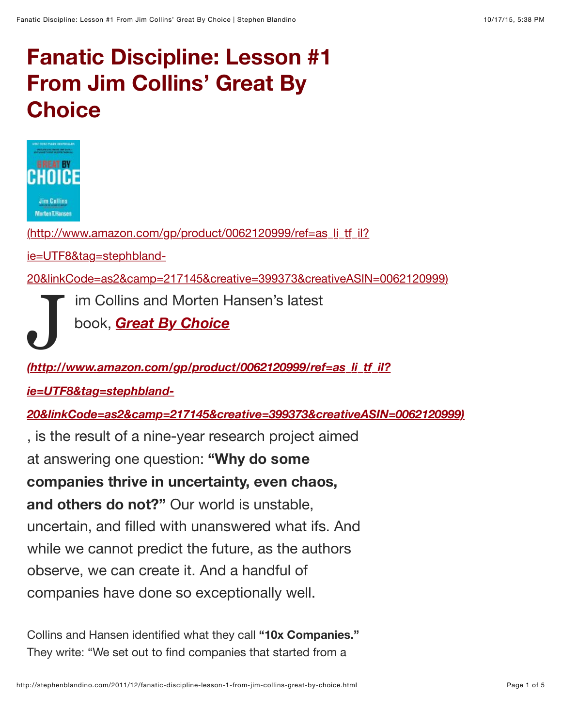## **Fanatic Discipline: Lesson #1 From Jim Collins' Great By Choice**



(http://www.amazon.com/gp/product/0062120999/ref=as\_li\_tf\_il?

ie=UTF8&tag=stephbland-

[20&linkCode=as2&camp=217145&creative=399373&creativeASIN=0062120999\)](http://www.amazon.com/gp/product/0062120999/ref=as_li_tf_il?ie=UTF8&tag=stephbland-20&linkCode=as2&camp=217145&creative=399373&creativeASIN=0062120999)

im Collins and Morten Hansen's latest

book, *Great By Choice*

## J *(http://www.amazon.com/gp/product/0062120999/ref=as\_li\_tf\_il?*

*ie=UTF8&tag=stephbland-*

*[20&linkCode=as2&camp=217145&creative=399373&creativeASIN=0062120999\)](http://www.amazon.com/gp/product/0062120999/ref=as_li_tf_il?ie=UTF8&tag=stephbland-20&linkCode=as2&camp=217145&creative=399373&creativeASIN=0062120999)*

, is the result of a nine-year research project aimed at answering one question: **"Why do some companies thrive in uncertainty, even chaos, and others do not?"** Our world is unstable, uncertain, and filled with unanswered what ifs. And while we cannot predict the future, as the authors observe, we can create it. And a handful of companies have done so exceptionally well.

Collins and Hansen identified what they call **"10x Companies."** They write: "We set out to find companies that started from a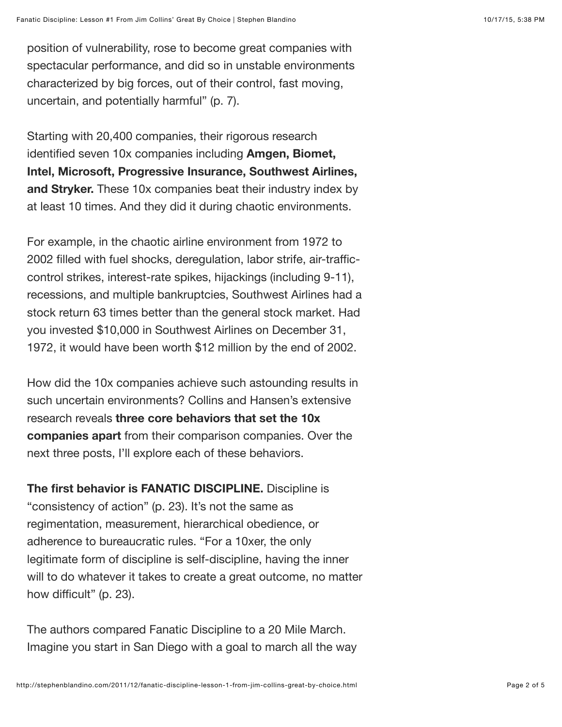position of vulnerability, rose to become great companies with spectacular performance, and did so in unstable environments characterized by big forces, out of their control, fast moving, uncertain, and potentially harmful" (p. 7).

Starting with 20,400 companies, their rigorous research identified seven 10x companies including **Amgen, Biomet, Intel, Microsoft, Progressive Insurance, Southwest Airlines, and Stryker.** These 10x companies beat their industry index by at least 10 times. And they did it during chaotic environments.

For example, in the chaotic airline environment from 1972 to 2002 filled with fuel shocks, deregulation, labor strife, air-trafficcontrol strikes, interest-rate spikes, hijackings (including 9-11), recessions, and multiple bankruptcies, Southwest Airlines had a stock return 63 times better than the general stock market. Had you invested \$10,000 in Southwest Airlines on December 31, 1972, it would have been worth \$12 million by the end of 2002.

How did the 10x companies achieve such astounding results in such uncertain environments? Collins and Hansen's extensive research reveals **three core behaviors that set the 10x companies apart** from their comparison companies. Over the next three posts, I'll explore each of these behaviors.

**The first behavior is FANATIC DISCIPLINE.** Discipline is "consistency of action" (p. 23). It's not the same as regimentation, measurement, hierarchical obedience, or adherence to bureaucratic rules. "For a 10xer, the only legitimate form of discipline is self-discipline, having the inner will to do whatever it takes to create a great outcome, no matter how difficult" (p. 23).

The authors compared Fanatic Discipline to a 20 Mile March. Imagine you start in San Diego with a goal to march all the way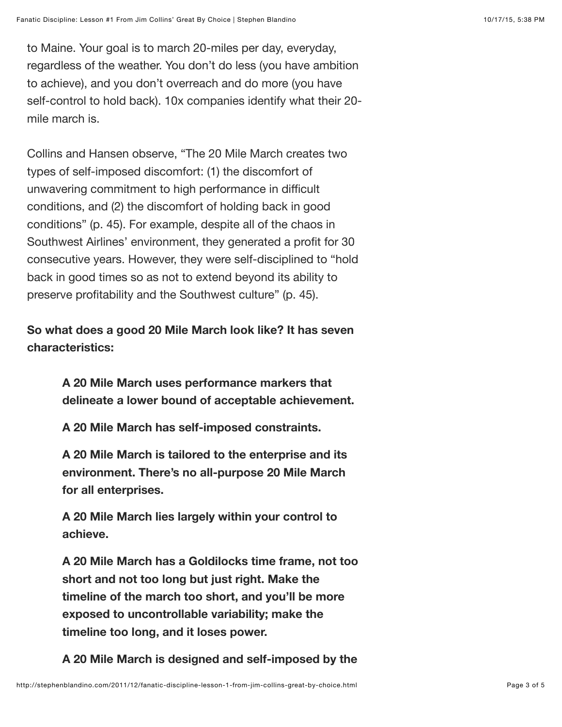to Maine. Your goal is to march 20-miles per day, everyday, regardless of the weather. You don't do less (you have ambition to achieve), and you don't overreach and do more (you have self-control to hold back). 10x companies identify what their 20 mile march is.

Collins and Hansen observe, "The 20 Mile March creates two types of self-imposed discomfort: (1) the discomfort of unwavering commitment to high performance in difficult conditions, and (2) the discomfort of holding back in good conditions" (p. 45). For example, despite all of the chaos in Southwest Airlines' environment, they generated a profit for 30 consecutive years. However, they were self-disciplined to "hold back in good times so as not to extend beyond its ability to preserve profitability and the Southwest culture" (p. 45).

**So what does a good 20 Mile March look like? It has seven characteristics:**

> **A 20 Mile March uses performance markers that delineate a lower bound of acceptable achievement.**

**A 20 Mile March has self-imposed constraints.**

**A 20 Mile March is tailored to the enterprise and its environment. There's no all-purpose 20 Mile March for all enterprises.**

**A 20 Mile March lies largely within your control to achieve.**

**A 20 Mile March has a Goldilocks time frame, not too short and not too long but just right. Make the timeline of the march too short, and you'll be more exposed to uncontrollable variability; make the timeline too long, and it loses power.**

**A 20 Mile March is designed and self-imposed by the**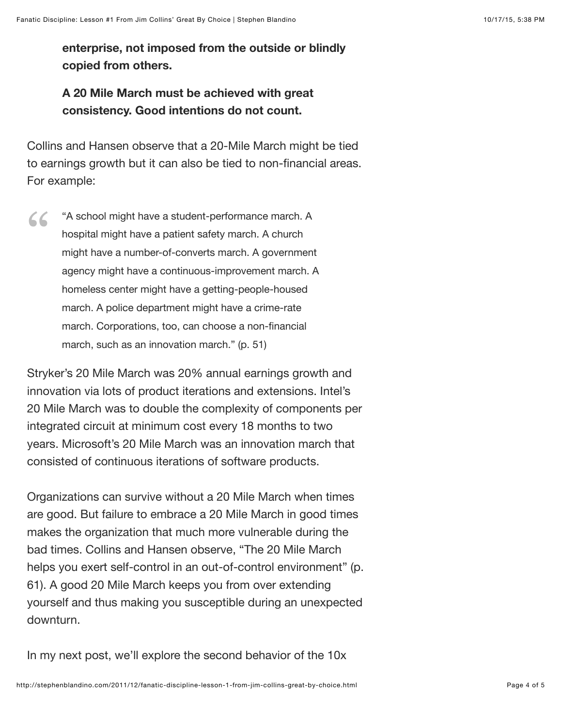**enterprise, not imposed from the outside or blindly copied from others.** 

## **A 20 Mile March must be achieved with great consistency. Good intentions do not count.**

Collins and Hansen observe that a 20-Mile March might be tied to earnings growth but it can also be tied to non-financial areas. For example:

"A school might have a student-performance march. A hospital might have a patient safety march. A church might have a number-of-converts march. A government agency might have a continuous-improvement march. A homeless center might have a getting-people-housed march. A police department might have a crime-rate march. Corporations, too, can choose a non-financial march, such as an innovation march." (p. 51) "

Stryker's 20 Mile March was 20% annual earnings growth and innovation via lots of product iterations and extensions. Intel's 20 Mile March was to double the complexity of components per integrated circuit at minimum cost every 18 months to two years. Microsoft's 20 Mile March was an innovation march that consisted of continuous iterations of software products.

Organizations can survive without a 20 Mile March when times are good. But failure to embrace a 20 Mile March in good times makes the organization that much more vulnerable during the bad times. Collins and Hansen observe, "The 20 Mile March helps you exert self-control in an out-of-control environment" (p. 61). A good 20 Mile March keeps you from over extending yourself and thus making you susceptible during an unexpected downturn.

In my next post, we'll explore the second behavior of the 10x